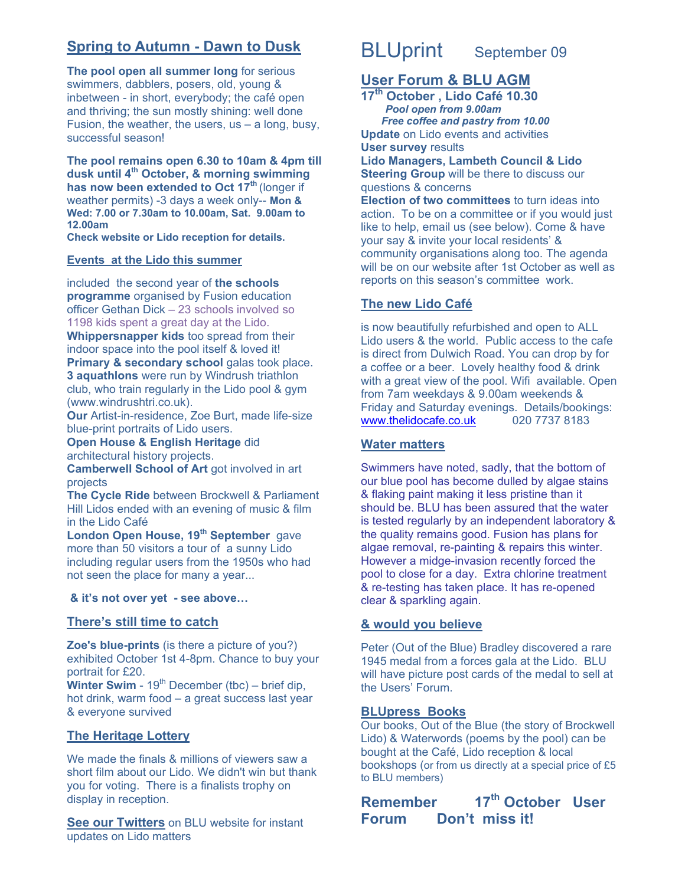## **Spring to Autumn - Dawn to Dusk**

**The pool open all summer long** for serious swimmers, dabblers, posers, old, young & inbetween - in short, everybody; the café open and thriving; the sun mostly shining: well done Fusion, the weather, the users, us – a long, busy, successful season!

**The pool remains open 6.30 to 10am & 4pm till dusk until 4th October, & morning swimming has now been extended to Oct 17th** (longer if weather permits) -3 days a week only-- **Mon & Wed: 7.00 or 7.30am to 10.00am, Sat. 9.00am to 12.00am** 

**Check website or Lido reception for details.** 

## **Events at the Lido this summer**

included the second year of **the schools programme** organised by Fusion education officer Gethan Dick – 23 schools involved so 1198 kids spent a great day at the Lido.

**Whippersnapper kids** too spread from their indoor space into the pool itself & loved it! **Primary & secondary school** galas took place.

**3 aquathlons** were run by Windrush triathlon club, who train regularly in the Lido pool & gym (www.windrushtri.co.uk).

**Our** Artist-in-residence, Zoe Burt, made life-size blue-print portraits of Lido users.

**Open House & English Heritage** did architectural history projects.

**Camberwell School of Art** got involved in art projects

**The Cycle Ride** between Brockwell & Parliament Hill Lidos ended with an evening of music & film in the Lido Café

**London Open House, 19th September** gave more than 50 visitors a tour of a sunny Lido including regular users from the 1950s who had not seen the place for many a year...

#### **& it's not over yet - see above…**

## **There's still time to catch**

**Zoe's blue-prints** (is there a picture of you?) exhibited October 1st 4-8pm. Chance to buy your portrait for £20.

**Winter Swim** -  $19<sup>th</sup>$  December (tbc) – brief dip, hot drink, warm food – a great success last year & everyone survived

## **The Heritage Lottery**

We made the finals & millions of viewers saw a short film about our Lido. We didn't win but thank you for voting. There is a finalists trophy on display in reception.

**See our Twitters** on BLU website for instant updates on Lido matters

# BLUprint September 09

## **User Forum & BLU AGM**

**17th October , Lido Café 10.30** *Pool open from 9.00am Free coffee and pastry from 10.00*  **Update** on Lido events and activities **User survey** results **Lido Managers, Lambeth Council & Lido Steering Group** will be there to discuss our questions & concerns

**Election of two committees** to turn ideas into action. To be on a committee or if you would just like to help, email us (see below). Come & have your say & invite your local residents' & community organisations along too. The agenda will be on our website after 1st October as well as reports on this season's committee work.

## **The new Lido Café**

is now beautifully refurbished and open to ALL Lido users & the world. Public access to the cafe is direct from Dulwich Road. You can drop by for a coffee or a beer. Lovely healthy food & drink with a great view of the pool. Wifi available. Open from 7am weekdays & 9.00am weekends & Friday and Saturday evenings. Details/bookings: www.thelidocafe.co.uk 020 7737 8183

## **Water matters**

Swimmers have noted, sadly, that the bottom of our blue pool has become dulled by algae stains & flaking paint making it less pristine than it should be. BLU has been assured that the water is tested regularly by an independent laboratory & the quality remains good. Fusion has plans for algae removal, re-painting & repairs this winter. However a midge-invasion recently forced the pool to close for a day. Extra chlorine treatment & re-testing has taken place. It has re-opened clear & sparkling again.

## **& would you believe**

Peter (Out of the Blue) Bradley discovered a rare 1945 medal from a forces gala at the Lido. BLU will have picture post cards of the medal to sell at the Users' Forum.

## **BLUpress Books**

Our books, Out of the Blue (the story of Brockwell Lido) & Waterwords (poems by the pool) can be bought at the Café, Lido reception & local bookshops (or from us directly at a special price of £5 to BLU members)

**Remember 17th October User Forum Don't miss it!**